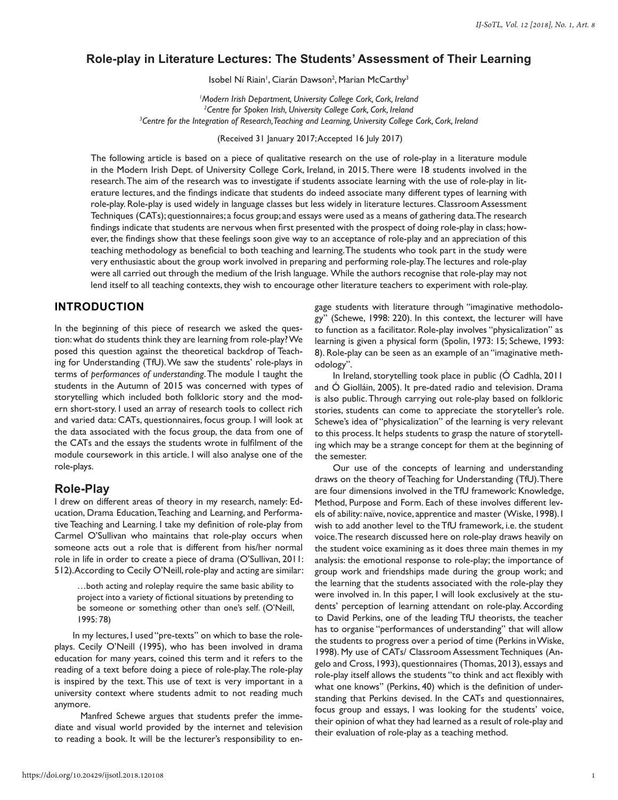## **Role-play in Literature Lectures: The Students' Assessment of Their Learning**

Isobel Ní Riain<sup>1</sup>, Ciarán Dawson<sup>2</sup>, Marian McCarthy<sup>3</sup>

*1 Modern Irish Department, University College Cork, Cork, Ireland 2 Centre for Spoken Irish, University College Cork, Cork, Ireland 3 Centre for the Integration of Research, Teaching and Learning, University College Cork, Cork, Ireland*

(Received 31 January 2017; Accepted 16 July 2017)

The following article is based on a piece of qualitative research on the use of role-play in a literature module in the Modern Irish Dept. of University College Cork, Ireland, in 2015. There were 18 students involved in the research. The aim of the research was to investigate if students associate learning with the use of role-play in literature lectures, and the findings indicate that students do indeed associate many different types of learning with role-play. Role-play is used widely in language classes but less widely in literature lectures. Classroom Assessment Techniques (CATs); questionnaires; a focus group; and essays were used as a means of gathering data. The research findings indicate that students are nervous when first presented with the prospect of doing role-play in class; however, the findings show that these feelings soon give way to an acceptance of role-play and an appreciation of this teaching methodology as beneficial to both teaching and learning. The students who took part in the study were very enthusiastic about the group work involved in preparing and performing role-play. The lectures and role-play were all carried out through the medium of the Irish language. While the authors recognise that role-play may not lend itself to all teaching contexts, they wish to encourage other literature teachers to experiment with role-play.

## **INTRODUCTION**

In the beginning of this piece of research we asked the question: what do students think they are learning from role-play? We posed this question against the theoretical backdrop of Teaching for Understanding (TfU). We saw the students' role-plays in terms of *performances of understanding*. The module I taught the students in the Autumn of 2015 was concerned with types of storytelling which included both folkloric story and the modern short-story. I used an array of research tools to collect rich and varied data: CATs, questionnaires, focus group. I will look at the data associated with the focus group, the data from one of the CATs and the essays the students wrote in fulfilment of the module coursework in this article. I will also analyse one of the role-plays.

### **Role-Play**

I drew on different areas of theory in my research, namely: Education, Drama Education, Teaching and Learning, and Performative Teaching and Learning. I take my definition of role-play from Carmel O'Sullivan who maintains that role-play occurs when someone acts out a role that is different from his/her normal role in life in order to create a piece of drama (O'Sullivan, 2011: 512). According to Cecily O'Neill, role-play and acting are similar:

…both acting and roleplay require the same basic ability to project into a variety of fictional situations by pretending to be someone or something other than one's self. (O'Neill, 1995: 78)

In my lectures, I used "pre-texts" on which to base the roleplays. Cecily O'Neill (1995), who has been involved in drama education for many years, coined this term and it refers to the reading of a text before doing a piece of role-play. The role-play is inspired by the text. This use of text is very important in a university context where students admit to not reading much anymore.

 Manfred Schewe argues that students prefer the immediate and visual world provided by the internet and television to reading a book. It will be the lecturer's responsibility to engage students with literature through "imaginative methodology" (Schewe, 1998: 220). In this context, the lecturer will have to function as a facilitator. Role-play involves "physicalization" as learning is given a physical form (Spolin, 1973: 15; Schewe, 1993: 8). Role-play can be seen as an example of an "imaginative methodology".

In Ireland, storytelling took place in public (Ó Cadhla, 2011 and Ó Giolláin, 2005). It pre-dated radio and television. Drama is also public. Through carrying out role-play based on folkloric stories, students can come to appreciate the storyteller's role. Schewe's idea of "physicalization" of the learning is very relevant to this process. It helps students to grasp the nature of storytelling which may be a strange concept for them at the beginning of the semester.

Our use of the concepts of learning and understanding draws on the theory of Teaching for Understanding (TfU). There are four dimensions involved in the TfU framework: Knowledge, Method, Purpose and Form. Each of these involves different levels of ability: naïve, novice, apprentice and master (Wiske, 1998). I wish to add another level to the TfU framework, i.e. the student voice. The research discussed here on role-play draws heavily on the student voice examining as it does three main themes in my analysis: the emotional response to role-play; the importance of group work and friendships made during the group work; and the learning that the students associated with the role-play they were involved in. In this paper, I will look exclusively at the students' perception of learning attendant on role-play. According to David Perkins, one of the leading TfU theorists, the teacher has to organise "performances of understanding" that will allow the students to progress over a period of time (Perkins in Wiske, 1998). My use of CATs/ Classroom Assessment Techniques (Angelo and Cross, 1993), questionnaires (Thomas, 2013), essays and role-play itself allows the students "to think and act flexibly with what one knows" (Perkins, 40) which is the definition of understanding that Perkins devised. In the CATs and questionnaires, focus group and essays, I was looking for the students' voice, their opinion of what they had learned as a result of role-play and their evaluation of role-play as a teaching method.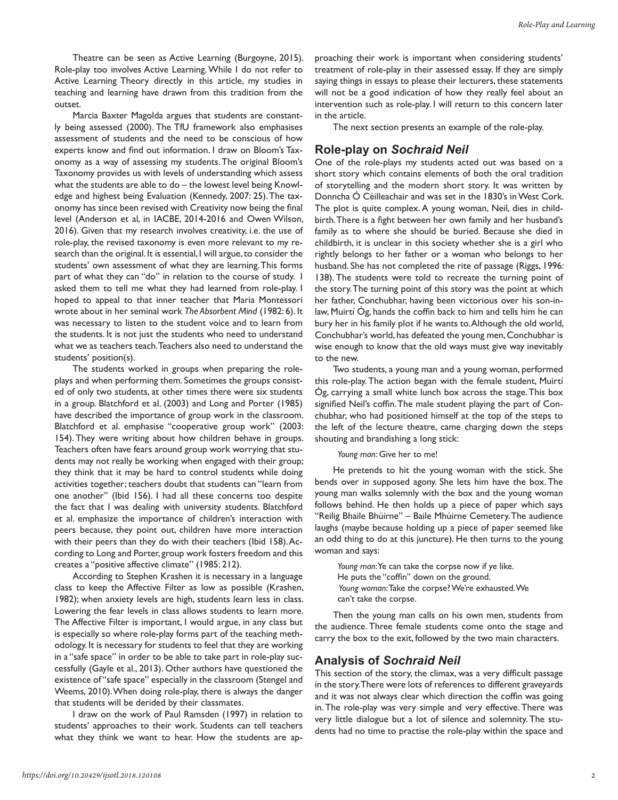Theatre can be seen as Active Learning (Burgoyne, 2015). Role-play too involves Active Learning. While I do not refer to Active Learning Theory directly in this article, my studies in teaching and learning have drawn from this tradition from the outset.

Marcia Baxter Magolda argues that students are constantly being assessed (2000). The TfU framework also emphasises assessment of students and the need to be conscious of how experts know and find out information. I draw on Bloom's Taxonomy as a way of assessing my students. The original Bloom's Taxonomy provides us with levels of understanding which assess what the students are able to do – the lowest level being Knowledge and highest being Evaluation (Kennedy, 2007: 25). The taxonomy has since been revised with Creativity now being the final level (Anderson et al, in IACBE, 2014-2016 and Owen Wilson, 2016). Given that my research involves creativity, i.e. the use of role-play, the revised taxonomy is even more relevant to my research than the original. It is essential, I will argue, to consider the students' own assessment of what they are learning. This forms part of what they can "do" in relation to the course of study. I asked them to tell me what they had learned from role-play. I hoped to appeal to that inner teacher that Maria Montessori wrote about in her seminal work *The Absorbent Mind* (1982: 6). It was necessary to listen to the student voice and to learn from the students. It is not just the students who need to understand what we as teachers teach. Teachers also need to understand the students' position(s).

The students worked in groups when preparing the roleplays and when performing them. Sometimes the groups consisted of only two students, at other times there were six students in a group. Blatchford et al. (2003) and Long and Porter (1985) have described the importance of group work in the classroom. Blatchford et al. emphasise "cooperative group work" (2003: 154). They were writing about how children behave in groups. Teachers often have fears around group work worrying that students may not really be working when engaged with their group; they think that it may be hard to control students while doing activities together; teachers doubt that students can "learn from one another" (Ibid 156). I had all these concerns too despite the fact that I was dealing with university students. Blatchford et al. emphasize the importance of children's interaction with peers because, they point out, children have more interaction with their peers than they do with their teachers (Ibid 158). According to Long and Porter, group work fosters freedom and this creates a "positive affective climate" (1985: 212).

According to Stephen Krashen it is necessary in a language class to keep the Affective Filter as low as possible (Krashen, 1982); when anxiety levels are high, students learn less in class. Lowering the fear levels in class allows students to learn more. The Affective Filter is important, I would argue, in any class but is especially so where role-play forms part of the teaching methodology. It is necessary for students to feel that they are working in a "safe space" in order to be able to take part in role-play successfully (Gayle et al., 2013). Other authors have questioned the existence of "safe space" especially in the classroom (Stengel and Weems, 2010). When doing role-play, there is always the danger that students will be derided by their classmates.

I draw on the work of Paul Ramsden (1997) in relation to students' approaches to their work. Students can tell teachers what they think we want to hear. How the students are approaching their work is important when considering students' treatment of role-play in their assessed essay. If they are simply saying things in essays to please their lecturers, these statements will not be a good indication of how they really feel about an intervention such as role-play. I will return to this concern later in the article.

The next section presents an example of the role-play.

# **Role-play on** *Sochraid Neil*

One of the role-plays my students acted out was based on a short story which contains elements of both the oral tradition of storytelling and the modern short story. It was written by Donncha Ó Céilleachair and was set in the 1830's in West Cork. The plot is quite complex. A young woman, Neil, dies in childbirth. There is a fight between her own family and her husband's family as to where she should be buried. Because she died in childbirth, it is unclear in this society whether she is a girl who rightly belongs to her father or a woman who belongs to her husband. She has not completed the rite of passage (Riggs, 1996: 138). The students were told to recreate the turning point of the story. The turning point of this story was the point at which her father, Conchubhar, having been victorious over his son-inlaw, Muirtí Óg, hands the coffin back to him and tells him he can bury her in his family plot if he wants to. Although the old world, Conchubhar's world, has defeated the young men, Conchubhar is wise enough to know that the old ways must give way inevitably to the new.

Two students, a young man and a young woman, performed this role-play. The action began with the female student, Muirtí Óg, carrying a small white lunch box across the stage. This box signified Neil's coffin. The male student playing the part of Conchubhar, who had positioned himself at the top of the steps to the left of the lecture theatre, came charging down the steps shouting and brandishing a long stick:

#### *Young man*: Give her to me!

He pretends to hit the young woman with the stick. She bends over in supposed agony. She lets him have the box. The young man walks solemnly with the box and the young woman follows behind. He then holds up a piece of paper which says "Reilig Bhaile Bhúirne" – Baile Mhúirne Cemetery. The audience laughs (maybe because holding up a piece of paper seemed like an odd thing to do at this juncture). He then turns to the young woman and says:

*Young man*: Ye can take the corpse now if ye like. He puts the "coffin" down on the ground.  *Young woman*: Take the corpse? We're exhausted. We can't take the corpse.

Then the young man calls on his own men, students from the audience. Three female students come onto the stage and carry the box to the exit, followed by the two main characters.

#### **Analysis of** *Sochraid Neil*

This section of the story, the climax, was a very difficult passage in the story. There were lots of references to different graveyards and it was not always clear which direction the coffin was going in. The role-play was very simple and very effective. There was very little dialogue but a lot of silence and solemnity. The students had no time to practise the role-play within the space and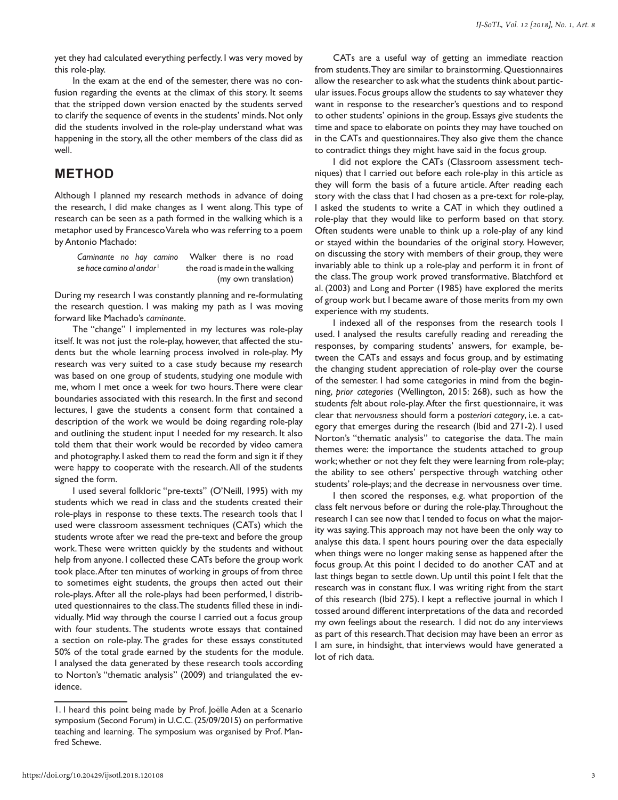yet they had calculated everything perfectly. I was very moved by this role-play.

In the exam at the end of the semester, there was no confusion regarding the events at the climax of this story. It seems that the stripped down version enacted by the students served to clarify the sequence of events in the students' minds. Not only did the students involved in the role-play understand what was happening in the story, all the other members of the class did as well.

# **METHOD**

Although I planned my research methods in advance of doing the research, I did make changes as I went along. This type of research can be seen as a path formed in the walking which is a metaphor used by Francesco Varela who was referring to a poem by Antonio Machado:

*Caminante no hay camino* Walker there is no road *se hace camino al andar* <sup>1</sup> the road is made in the walking (my own translation)

During my research I was constantly planning and re-formulating the research question. I was making my path as I was moving forward like Machado's *caminante*.

The "change" I implemented in my lectures was role-play itself. It was not just the role-play, however, that affected the students but the whole learning process involved in role-play. My research was very suited to a case study because my research was based on one group of students, studying one module with me, whom I met once a week for two hours. There were clear boundaries associated with this research. In the first and second lectures, I gave the students a consent form that contained a description of the work we would be doing regarding role-play and outlining the student input I needed for my research. It also told them that their work would be recorded by video camera and photography. I asked them to read the form and sign it if they were happy to cooperate with the research. All of the students signed the form.

I used several folkloric "pre-texts" (O'Neill, 1995) with my students which we read in class and the students created their role-plays in response to these texts. The research tools that I used were classroom assessment techniques (CATs) which the students wrote after we read the pre-text and before the group work. These were written quickly by the students and without help from anyone. I collected these CATs before the group work took place. After ten minutes of working in groups of from three to sometimes eight students, the groups then acted out their role-plays. After all the role-plays had been performed, I distributed questionnaires to the class. The students filled these in individually. Mid way through the course I carried out a focus group with four students. The students wrote essays that contained a section on role-play. The grades for these essays constituted 50% of the total grade earned by the students for the module. I analysed the data generated by these research tools according to Norton's "thematic analysis" (2009) and triangulated the evidence.

CATs are a useful way of getting an immediate reaction from students. They are similar to brainstorming. Questionnaires allow the researcher to ask what the students think about particular issues. Focus groups allow the students to say whatever they want in response to the researcher's questions and to respond to other students' opinions in the group. Essays give students the time and space to elaborate on points they may have touched on in the CATs and questionnaires. They also give them the chance to contradict things they might have said in the focus group.

I did not explore the CATs (Classroom assessment techniques) that I carried out before each role-play in this article as they will form the basis of a future article. After reading each story with the class that I had chosen as a pre-text for role-play, I asked the students to write a CAT in which they outlined a role-play that they would like to perform based on that story. Often students were unable to think up a role-play of any kind or stayed within the boundaries of the original story. However, on discussing the story with members of their group, they were invariably able to think up a role-play and perform it in front of the class. The group work proved transformative. Blatchford et al. (2003) and Long and Porter (1985) have explored the merits of group work but I became aware of those merits from my own experience with my students.

I indexed all of the responses from the research tools I used. I analysed the results carefully reading and rereading the responses, by comparing students' answers, for example, between the CATs and essays and focus group, and by estimating the changing student appreciation of role-play over the course of the semester. I had some categories in mind from the beginning, *prior categories* (Wellington, 2015: 268), such as how the students *felt* about role-play. After the first questionnaire, it was clear that *nervousness* should form a p*osteriori category*, i.e. a category that emerges during the research (Ibid and 271-2). I used Norton's "thematic analysis" to categorise the data. The main themes were: the importance the students attached to group work; whether or not they felt they were learning from role-play; the ability to see others' perspective through watching other students' role-plays; and the decrease in nervousness over time.

I then scored the responses, e.g. what proportion of the class felt nervous before or during the role-play. Throughout the research I can see now that I tended to focus on what the majority was saying. This approach may not have been the only way to analyse this data. I spent hours pouring over the data especially when things were no longer making sense as happened after the focus group. At this point I decided to do another CAT and at last things began to settle down. Up until this point I felt that the research was in constant flux. I was writing right from the start of this research (Ibid 275). I kept a reflective journal in which I tossed around different interpretations of the data and recorded my own feelings about the research. I did not do any interviews as part of this research. That decision may have been an error as I am sure, in hindsight, that interviews would have generated a lot of rich data.

<sup>1.</sup> I heard this point being made by Prof. Joëlle Aden at a Scenario symposium (Second Forum) in U.C.C. (25/09/2015) on performative teaching and learning. The symposium was organised by Prof. Manfred Schewe.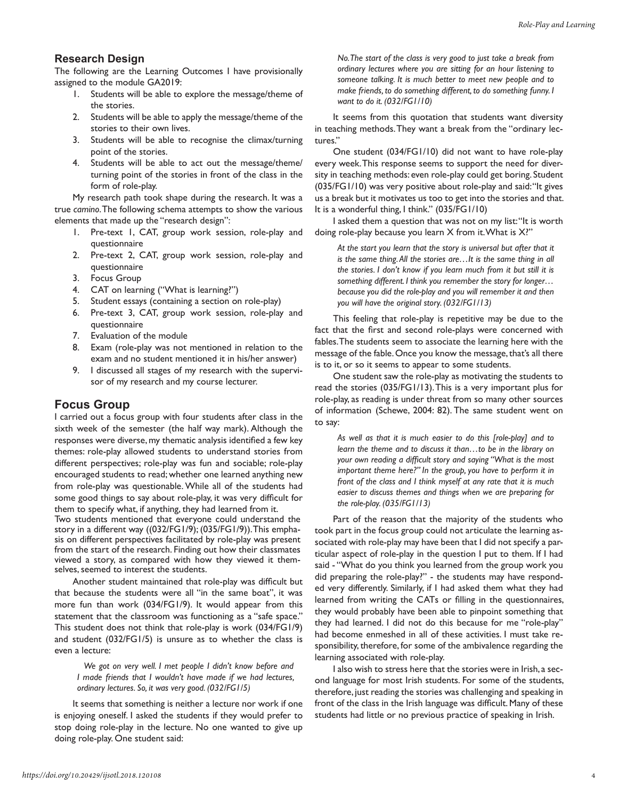#### **Research Design**

The following are the Learning Outcomes I have provisionally assigned to the module GA2019:

- 1. Students will be able to explore the message/theme of the stories.
- 2. Students will be able to apply the message/theme of the stories to their own lives.
- 3. Students will be able to recognise the climax/turning point of the stories.
- 4. Students will be able to act out the message/theme/ turning point of the stories in front of the class in the form of role-play.

My research path took shape during the research. It was a true *camino*. The following schema attempts to show the various elements that made up the "research design":

- 1. Pre-text 1, CAT, group work session, role-play and questionnaire
- 2. Pre-text 2, CAT, group work session, role-play and questionnaire
- 3. Focus Group
- 4. CAT on learning ("What is learning?")
- 5. Student essays (containing a section on role-play)
- 6. Pre-text 3, CAT, group work session, role-play and questionnaire
- 7. Evaluation of the module
- 8. Exam (role-play was not mentioned in relation to the exam and no student mentioned it in his/her answer)
- 9. I discussed all stages of my research with the supervisor of my research and my course lecturer.

### **Focus Group**

I carried out a focus group with four students after class in the sixth week of the semester (the half way mark). Although the responses were diverse, my thematic analysis identified a few key themes: role-play allowed students to understand stories from different perspectives; role-play was fun and sociable; role-play encouraged students to read; whether one learned anything new from role-play was questionable. While all of the students had some good things to say about role-play, it was very difficult for them to specify what, if anything, they had learned from it.

Two students mentioned that everyone could understand the story in a different way ((032/FG1/9); (035/FG1/9)). This emphasis on different perspectives facilitated by role-play was present from the start of the research. Finding out how their classmates viewed a story, as compared with how they viewed it themselves, seemed to interest the students.

Another student maintained that role-play was difficult but that because the students were all "in the same boat", it was more fun than work (034/FG1/9). It would appear from this statement that the classroom was functioning as a "safe space." This student does not think that role-play is work (034/FG1/9) and student (032/FG1/5) is unsure as to whether the class is even a lecture:

 *We got on very well. I met people I didn't know before and I made friends that I wouldn't have made if we had lectures, ordinary lectures. So, it was very good. (032/FG1/5)*

It seems that something is neither a lecture nor work if one is enjoying oneself. I asked the students if they would prefer to stop doing role-play in the lecture. No one wanted to give up doing role-play. One student said:

*No. The start of the class is very good to just take a break from ordinary lectures where you are sitting for an hour listening to someone talking. It is much better to meet new people and to make friends, to do something different, to do something funny. I want to do it. (032/FG1/10)*

It seems from this quotation that students want diversity in teaching methods. They want a break from the "ordinary lectures."

One student (034/FG1/10) did not want to have role-play every week. This response seems to support the need for diversity in teaching methods: even role-play could get boring. Student (035/FG1/10) was very positive about role-play and said: "It gives us a break but it motivates us too to get into the stories and that. It is a wonderful thing, I think." (035/FG1/10)

I asked them a question that was not on my list: "It is worth doing role-play because you learn X from it. What is X?"

*At the start you learn that the story is universal but after that it is the same thing. All the stories are…It is the same thing in all the stories. I don't know if you learn much from it but still it is something different. I think you remember the story for longer… because you did the role-play and you will remember it and then you will have the original story. (032/FG1/13)*

This feeling that role-play is repetitive may be due to the fact that the first and second role-plays were concerned with fables. The students seem to associate the learning here with the message of the fable. Once you know the message, that's all there is to it, or so it seems to appear to some students.

One student saw the role-play as motivating the students to read the stories (035/FG1/13). This is a very important plus for role-play, as reading is under threat from so many other sources of information (Schewe, 2004: 82). The same student went on to say:

*As well as that it is much easier to do this [role-play] and to learn the theme and to discuss it than…to be in the library on your own reading a difficult story and saying "What is the most important theme here?" In the group, you have to perform it in front of the class and I think myself at any rate that it is much easier to discuss themes and things when we are preparing for the role-play. (035/FG1/13)*

Part of the reason that the majority of the students who took part in the focus group could not articulate the learning associated with role-play may have been that I did not specify a particular aspect of role-play in the question I put to them. If I had said - "What do you think you learned from the group work you did preparing the role-play?" - the students may have responded very differently. Similarly, if I had asked them what they had learned from writing the CATs or filling in the questionnaires, they would probably have been able to pinpoint something that they had learned. I did not do this because for me "role-play" had become enmeshed in all of these activities. I must take responsibility, therefore, for some of the ambivalence regarding the learning associated with role-play.

I also wish to stress here that the stories were in Irish, a second language for most Irish students. For some of the students, therefore, just reading the stories was challenging and speaking in front of the class in the Irish language was difficult. Many of these students had little or no previous practice of speaking in Irish.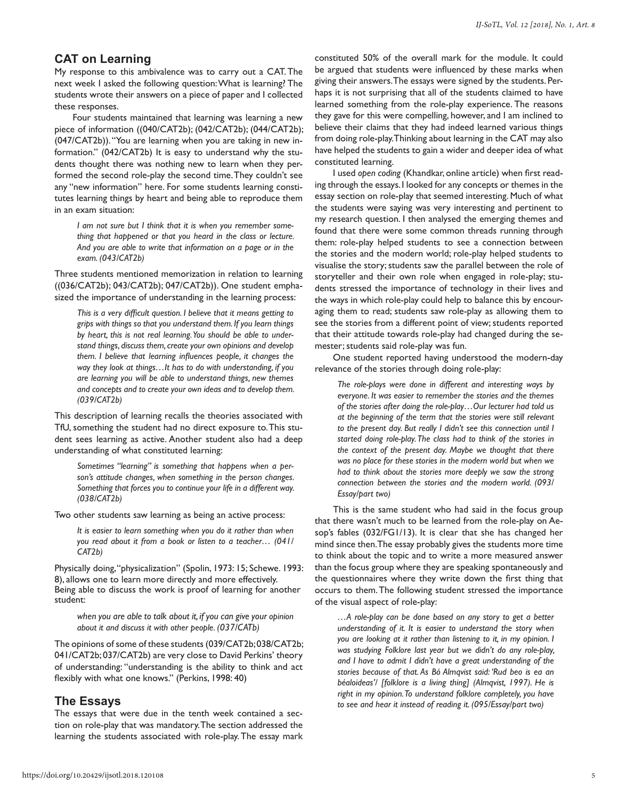### **CAT on Learning**

My response to this ambivalence was to carry out a CAT. The next week I asked the following question: What is learning? The students wrote their answers on a piece of paper and I collected these responses.

Four students maintained that learning was learning a new piece of information ((040/CAT2b); (042/CAT2b); (044/CAT2b); (047/CAT2b)). "You are learning when you are taking in new information." (042/CAT2b) It is easy to understand why the students thought there was nothing new to learn when they performed the second role-play the second time. They couldn't see any "new information" here. For some students learning constitutes learning things by heart and being able to reproduce them in an exam situation:

*I am not sure but I think that it is when you remember something that happened or that you heard in the class or lecture. And you are able to write that information on a page or in the exam. (043/CAT2b)*

Three students mentioned memorization in relation to learning ((036/CAT2b); 043/CAT2b); 047/CAT2b)). One student emphasized the importance of understanding in the learning process:

*This is a very difficult question. I believe that it means getting to grips with things so that you understand them. If you learn things by heart, this is not real learning. You should be able to understand things, discuss them, create your own opinions and develop them. I believe that learning influences people, it changes the way they look at things…It has to do with understanding, if you are learning you will be able to understand things, new themes and concepts and to create your own ideas and to develop them. (039/CAT2b)*

This description of learning recalls the theories associated with TfU, something the student had no direct exposure to. This student sees learning as active. Another student also had a deep understanding of what constituted learning:

*Sometimes "learning" is something that happens when a person's attitude changes, when something in the person changes. Something that forces you to continue your life in a different way. (038/CAT2b)*

Two other students saw learning as being an active process:

*It is easier to learn something when you do it rather than when you read about it from a book or listen to a teacher… (041/ CAT2b)* 

Physically doing, "physicalization" (Spolin, 1973: 15; Schewe. 1993: 8), allows one to learn more directly and more effectively. Being able to discuss the work is proof of learning for another student:

*when you are able to talk about it, if you can give your opinion about it and discuss it with other people. (037/CATb)* 

The opinions of some of these students (039/CAT2b; 038/CAT2b; 041/CAT2b; 037/CAT2b) are very close to David Perkins' theory of understanding: "understanding is the ability to think and act flexibly with what one knows." (Perkins, 1998: 40)

### **The Essays**

The essays that were due in the tenth week contained a section on role-play that was mandatory. The section addressed the learning the students associated with role-play. The essay mark

constituted 50% of the overall mark for the module. It could be argued that students were influenced by these marks when giving their answers. The essays were signed by the students. Perhaps it is not surprising that all of the students claimed to have learned something from the role-play experience. The reasons they gave for this were compelling, however, and I am inclined to believe their claims that they had indeed learned various things from doing role-play. Thinking about learning in the CAT may also have helped the students to gain a wider and deeper idea of what constituted learning.

I used *open coding* (Khandkar, online article) when first reading through the essays. I looked for any concepts or themes in the essay section on role-play that seemed interesting. Much of what the students were saying was very interesting and pertinent to my research question. I then analysed the emerging themes and found that there were some common threads running through them: role-play helped students to see a connection between the stories and the modern world; role-play helped students to visualise the story; students saw the parallel between the role of storyteller and their own role when engaged in role-play; students stressed the importance of technology in their lives and the ways in which role-play could help to balance this by encouraging them to read; students saw role-play as allowing them to see the stories from a different point of view; students reported that their attitude towards role-play had changed during the semester; students said role-play was fun.

One student reported having understood the modern-day relevance of the stories through doing role-play:

*The role-plays were done in different and interesting ways by everyone. It was easier to remember the stories and the themes of the stories after doing the role-play…Our lecturer had told us at the beginning of the term that the stories were still relevant to the present day. But really I didn't see this connection until I started doing role-play. The class had to think of the stories in the context of the present day. Maybe we thought that there was no place for these stories in the modern world but when we had to think about the stories more deeply we saw the strong connection between the stories and the modern world. (093/ Essay/part two)*

This is the same student who had said in the focus group that there wasn't much to be learned from the role-play on Aesop's fables (032/FG1/13). It is clear that she has changed her mind since then. The essay probably gives the students more time to think about the topic and to write a more measured answer than the focus group where they are speaking spontaneously and the questionnaires where they write down the first thing that occurs to them. The following student stressed the importance of the visual aspect of role-play:

*…A role-play can be done based on any story to get a better understanding of it. It is easier to understand the story when you are looking at it rather than listening to it, in my opinion. I was studying Folklore last year but we didn't do any role-play, and I have to admit I didn't have a great understanding of the stories because of that. As Bó Almqvist said: 'Rud beo is ea an béaloideas'/ [folklore is a living thing] (Almqvist, 1997). He is right in my opinion. To understand folklore completely, you have to see and hear it instead of reading it. (095/Essay/part two)*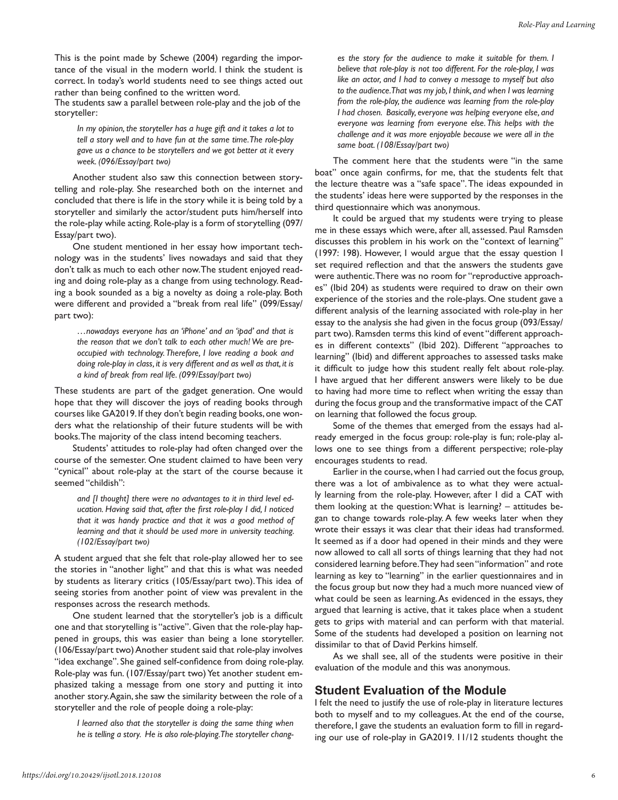This is the point made by Schewe (2004) regarding the importance of the visual in the modern world. I think the student is correct. In today's world students need to see things acted out rather than being confined to the written word.

The students saw a parallel between role-play and the job of the storyteller:

*In my opinion, the storyteller has a huge gift and it takes a lot to tell a story well and to have fun at the same time. The role-play gave us a chance to be storytellers and we got better at it every week. (096/Essay/part two)*

Another student also saw this connection between storytelling and role-play. She researched both on the internet and concluded that there is life in the story while it is being told by a storyteller and similarly the actor/student puts him/herself into the role-play while acting. Role-play is a form of storytelling (097/ Essay/part two).

One student mentioned in her essay how important technology was in the students' lives nowadays and said that they don't talk as much to each other now. The student enjoyed reading and doing role-play as a change from using technology. Reading a book sounded as a big a novelty as doing a role-play. Both were different and provided a "break from real life" (099/Essay/ part two):

*…nowadays everyone has an 'iPhone' and an 'ipad' and that is the reason that we don't talk to each other much! We are preoccupied with technology. Therefore, I love reading a book and doing role-play in class, it is very different and as well as that, it is a kind of break from real life. (099/Essay/part two)*

These students are part of the gadget generation. One would hope that they will discover the joys of reading books through courses like GA2019. If they don't begin reading books, one wonders what the relationship of their future students will be with books. The majority of the class intend becoming teachers.

Students' attitudes to role-play had often changed over the course of the semester. One student claimed to have been very "cynical" about role-play at the start of the course because it seemed "childish":

*and [I thought] there were no advantages to it in third level education. Having said that, after the first role-play I did, I noticed that it was handy practice and that it was a good method of learning and that it should be used more in university teaching. (102/Essay/part two)*

A student argued that she felt that role-play allowed her to see the stories in "another light" and that this is what was needed by students as literary critics (105/Essay/part two). This idea of seeing stories from another point of view was prevalent in the responses across the research methods.

One student learned that the storyteller's job is a difficult one and that storytelling is "active". Given that the role-play happened in groups, this was easier than being a lone storyteller. (106/Essay/part two) Another student said that role-play involves "idea exchange". She gained self-confidence from doing role-play. Role-play was fun. (107/Essay/part two) Yet another student emphasized taking a message from one story and putting it into another story. Again, she saw the similarity between the role of a storyteller and the role of people doing a role-play:

*I learned also that the storyteller is doing the same thing when he is telling a story. He is also role-playing. The storyteller chang-*

*es the story for the audience to make it suitable for them. I believe that role-play is not too different. For the role-play, I was like an actor, and I had to convey a message to myself but also to the audience. That was my job, I think, and when I was learning from the role-play, the audience was learning from the role-play I had chosen. Basically, everyone was helping everyone else, and everyone was learning from everyone else. This helps with the challenge and it was more enjoyable because we were all in the same boat. (108/Essay/part two)*

The comment here that the students were "in the same boat" once again confirms, for me, that the students felt that the lecture theatre was a "safe space". The ideas expounded in the students' ideas here were supported by the responses in the third questionnaire which was anonymous.

It could be argued that my students were trying to please me in these essays which were, after all, assessed. Paul Ramsden discusses this problem in his work on the "context of learning" (1997: 198). However, I would argue that the essay question I set required reflection and that the answers the students gave were authentic. There was no room for "reproductive approaches" (Ibid 204) as students were required to draw on their own experience of the stories and the role-plays. One student gave a different analysis of the learning associated with role-play in her essay to the analysis she had given in the focus group (093/Essay/ part two). Ramsden terms this kind of event "different approaches in different contexts" (Ibid 202). Different "approaches to learning" (Ibid) and different approaches to assessed tasks make it difficult to judge how this student really felt about role-play. I have argued that her different answers were likely to be due to having had more time to reflect when writing the essay than during the focus group and the transformative impact of the CAT on learning that followed the focus group.

Some of the themes that emerged from the essays had already emerged in the focus group: role-play is fun; role-play allows one to see things from a different perspective; role-play encourages students to read.

Earlier in the course, when I had carried out the focus group, there was a lot of ambivalence as to what they were actually learning from the role-play. However, after I did a CAT with them looking at the question: What is learning? – attitudes began to change towards role-play. A few weeks later when they wrote their essays it was clear that their ideas had transformed. It seemed as if a door had opened in their minds and they were now allowed to call all sorts of things learning that they had not considered learning before. They had seen "information" and rote learning as key to "learning" in the earlier questionnaires and in the focus group but now they had a much more nuanced view of what could be seen as learning. As evidenced in the essays, they argued that learning is active, that it takes place when a student gets to grips with material and can perform with that material. Some of the students had developed a position on learning not dissimilar to that of David Perkins himself.

As we shall see, all of the students were positive in their evaluation of the module and this was anonymous.

## **Student Evaluation of the Module**

I felt the need to justify the use of role-play in literature lectures both to myself and to my colleagues. At the end of the course, therefore, I gave the students an evaluation form to fill in regarding our use of role-play in GA2019. 11/12 students thought the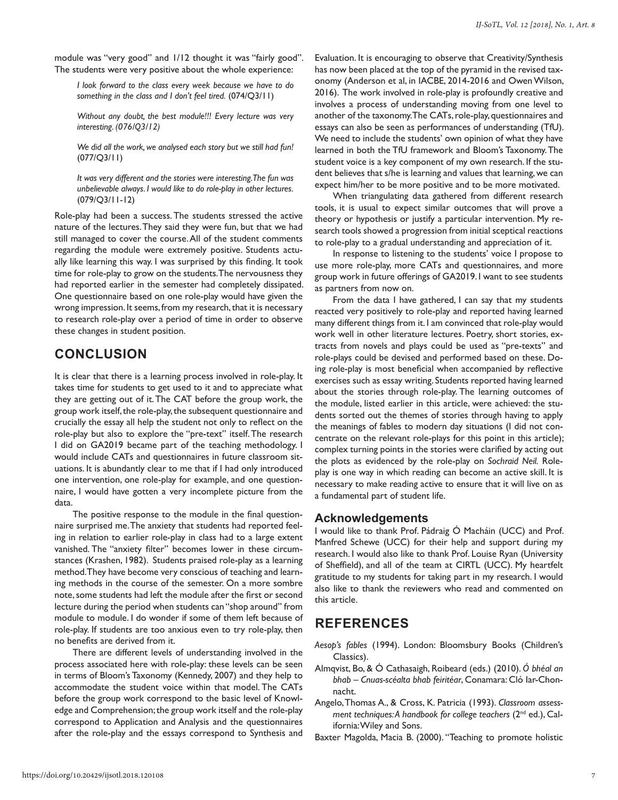module was "very good" and 1/12 thought it was "fairly good". The students were very positive about the whole experience:

*I look forward to the class every week because we have to do something in the class and I don't feel tired.* (074/Q3/11)

*Without any doubt, the best module!!! Every lecture was very interesting. (076/Q3/12)*

*We did all the work, we analysed each story but we still had fun!* (077/Q3/11)

*It was very different and the stories were interesting. The fun was unbelievable always. I would like to do role-play in other lectures.* (079/Q3/11-12)

Role-play had been a success. The students stressed the active nature of the lectures. They said they were fun, but that we had still managed to cover the course. All of the student comments regarding the module were extremely positive. Students actually like learning this way. I was surprised by this finding. It took time for role-play to grow on the students. The nervousness they had reported earlier in the semester had completely dissipated. One questionnaire based on one role-play would have given the wrong impression. It seems, from my research, that it is necessary to research role-play over a period of time in order to observe these changes in student position.

# **CONCLUSION**

It is clear that there is a learning process involved in role-play. It takes time for students to get used to it and to appreciate what they are getting out of it. The CAT before the group work, the group work itself, the role-play, the subsequent questionnaire and crucially the essay all help the student not only to reflect on the role-play but also to explore the "pre-text" itself. The research I did on GA2019 became part of the teaching methodology. I would include CATs and questionnaires in future classroom situations. It is abundantly clear to me that if I had only introduced one intervention, one role-play for example, and one questionnaire, I would have gotten a very incomplete picture from the data.

The positive response to the module in the final questionnaire surprised me. The anxiety that students had reported feeling in relation to earlier role-play in class had to a large extent vanished. The "anxiety filter" becomes lower in these circumstances (Krashen, 1982). Students praised role-play as a learning method. They have become very conscious of teaching and learning methods in the course of the semester. On a more sombre note, some students had left the module after the first or second lecture during the period when students can "shop around" from module to module. I do wonder if some of them left because of role-play. If students are too anxious even to try role-play, then no benefits are derived from it.

There are different levels of understanding involved in the process associated here with role-play: these levels can be seen in terms of Bloom's Taxonomy (Kennedy, 2007) and they help to accommodate the student voice within that model. The CATs before the group work correspond to the basic level of Knowledge and Comprehension; the group work itself and the role-play correspond to Application and Analysis and the questionnaires after the role-play and the essays correspond to Synthesis and

Evaluation. It is encouraging to observe that Creativity/Synthesis has now been placed at the top of the pyramid in the revised taxonomy (Anderson et al, in IACBE, 2014-2016 and Owen Wilson, 2016). The work involved in role-play is profoundly creative and involves a process of understanding moving from one level to another of the taxonomy. The CATs, role-play, questionnaires and essays can also be seen as performances of understanding (TfU). We need to include the students' own opinion of what they have learned in both the TfU framework and Bloom's Taxonomy. The student voice is a key component of my own research. If the student believes that s/he is learning and values that learning, we can expect him/her to be more positive and to be more motivated.

When triangulating data gathered from different research tools, it is usual to expect similar outcomes that will prove a theory or hypothesis or justify a particular intervention. My research tools showed a progression from initial sceptical reactions to role-play to a gradual understanding and appreciation of it.

In response to listening to the students' voice I propose to use more role-play, more CATs and questionnaires, and more group work in future offerings of GA2019. I want to see students as partners from now on.

From the data I have gathered, I can say that my students reacted very positively to role-play and reported having learned many different things from it. I am convinced that role-play would work well in other literature lectures. Poetry, short stories, extracts from novels and plays could be used as "pre-texts" and role-plays could be devised and performed based on these. Doing role-play is most beneficial when accompanied by reflective exercises such as essay writing. Students reported having learned about the stories through role-play. The learning outcomes of the module, listed earlier in this article, were achieved: the students sorted out the themes of stories through having to apply the meanings of fables to modern day situations (I did not concentrate on the relevant role-plays for this point in this article); complex turning points in the stories were clarified by acting out the plots as evidenced by the role-play on *Sochraid Neil.* Roleplay is one way in which reading can become an active skill. It is necessary to make reading active to ensure that it will live on as a fundamental part of student life.

#### **Acknowledgements**

I would like to thank Prof. Pádraig Ó Macháin (UCC) and Prof. Manfred Schewe (UCC) for their help and support during my research. I would also like to thank Prof. Louise Ryan (University of Sheffield), and all of the team at CIRTL (UCC). My heartfelt gratitude to my students for taking part in my research. I would also like to thank the reviewers who read and commented on this article.

# **REFERENCES**

- *Aesop's fables* (1994). London: Bloomsbury Books (Children's Classics).
- Almqvist, Bo, & Ó Cathasaigh, Roibeard (eds.) (2010). *Ó bhéal an bhab – Cnuas-scéalta bhab feiritéar*, Conamara: Cló Iar-Chonnacht.
- Angelo, Thomas A., & Cross, K. Patricia (1993). *Classroom assessment techniques: A handbook for college teachers* (2nd ed.), California: Wiley and Sons.
- Baxter Magolda, Macia B. (2000). "Teaching to promote holistic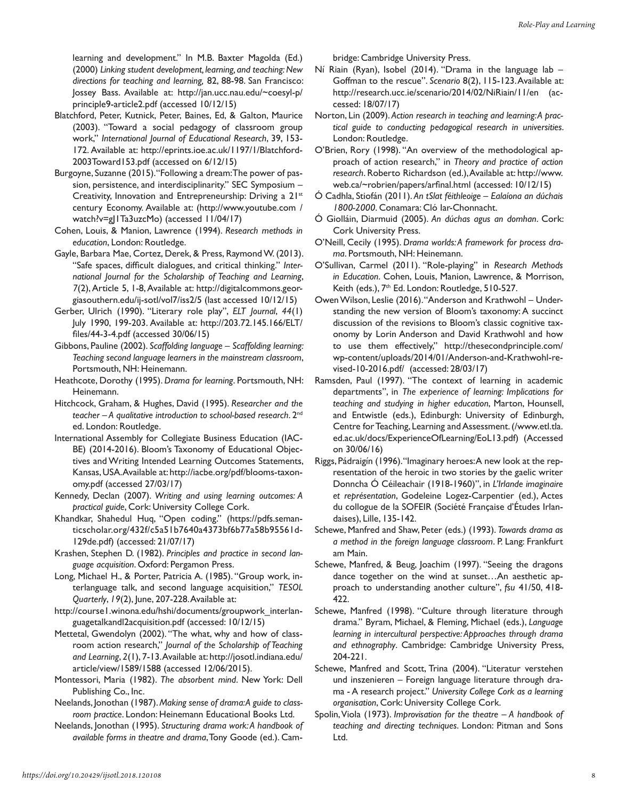learning and development." In M.B. Baxter Magolda (Ed.) (2000) *Linking student development, learning, and teaching: New directions for teaching and learning,* 82, 88-98. San Francisco: Jossey Bass. Available at: http://jan.ucc.nau.edu/~coesyl-p/ principle9-article2.pdf (accessed 10/12/15)

- Blatchford, Peter, Kutnick, Peter, Baines, Ed, & Galton, Maurice (2003). "Toward a social pedagogy of classroom group work," *International Journal of Educational Research*, 39, 153- 172. Available at: http://eprints.ioe.ac.uk/1197/1/Blatchford-2003Toward153.pdf (accessed on 6/12/15)
- Burgoyne, Suzanne (2015). "Following a dream: The power of passion, persistence, and interdisciplinarity." SEC Symposium – Creativity, Innovation and Entrepreneurship: Driving a 21st century Economy. Available at: (http://www.youtube.com / watch?v=gJ1Ta3uzcMo) (accessed 11/04/17)
- Cohen, Louis, & Manion, Lawrence (1994). *Research methods in education*, London: Routledge.
- Gayle, Barbara Mae, Cortez, Derek, & Press, Raymond W. (2013). "Safe spaces, difficult dialogues, and critical thinking." *International Journal for the Scholarship of Teaching and Learning*, *7*(2), Article 5, 1-8, Available at: http://digitalcommons.georgiasouthern.edu/ij-sotl/vol7/iss2/5 (last accessed 10/12/15)
- Gerber, Ulrich (1990). "Literary role play", *ELT Journal*, *44*(1) July 1990, 199-203. Available at: http://203.72.145.166/ELT/ files/44-3-4.pdf (accessed 30/06/15)
- Gibbons, Pauline (2002). *Scaffolding language Scaffolding learning: Teaching second language learners in the mainstream classroom*, Portsmouth, NH: Heinemann.
- Heathcote, Dorothy (1995). *Drama for learning*. Portsmouth, NH: Heinemann.
- Hitchcock, Graham, & Hughes, David (1995). *Researcher and the teacher – A qualitative introduction to school-based research*. 2nd ed. London: Routledge.
- International Assembly for Collegiate Business Education (IAC-BE) (2014-2016). Bloom's Taxonomy of Educational Objectives and Writing Intended Learning Outcomes Statements, Kansas, USA. Available at: http://iacbe.org/pdf/blooms-taxonomy.pdf (accessed 27/03/17)
- Kennedy, Declan (2007). *Writing and using learning outcomes: A practical guide*, Cork: University College Cork.
- Khandkar, Shahedul Huq, "Open coding." (https://pdfs.semanticscholar.org/432f/c5a51b7640a4373bf6b77a58b95561d-129de.pdf) (accessed: 21/07/17)
- Krashen, Stephen D. (1982). *Principles and practice in second language acquisition*. Oxford: Pergamon Press.
- Long, Michael H., & Porter, Patricia A. (1985). "Group work, interlanguage talk, and second language acquisition," *TESOL Quarterly*, *19*(2), June, 207-228. Available at:
- http://course1.winona.edu/hshi/documents/groupwork\_interlanguagetalkandl2acquisition.pdf (accessed: 10/12/15)
- Mettetal, Gwendolyn (2002). "The what, why and how of classroom action research," *Journal of the Scholarship of Teaching and Learning*, *2*(1), 7-13. Available at: http://josotl.indiana.edu/ article/view/1589/1588 (accessed 12/06/2015).
- Montessori, Maria (1982). *The absorbent mind*. New York: Dell Publishing Co., Inc.
- Neelands, Jonothan (1987). *Making sense of drama: A guide to classroom practice*. London: Heinemann Educational Books Ltd.
- Neelands, Jonothan (1995). *Structuring drama work: A handbook of available forms in theatre and drama*, Tony Goode (ed.). Cam-

bridge: Cambridge University Press.

- Ní Riain (Ryan), Isobel (2014). "Drama in the language lab Goffman to the rescue". *Scenario* 8(2), 115-123. Available at: http://research.ucc.ie/scenario/2014/02/NiRiain/11/en (accessed: 18/07/17)
- Norton, Lin (2009). *Action research in teaching and learning: A practical guide to conducting pedagogical research in universities*. London: Routledge.
- O'Brien, Rory (1998). "An overview of the methodological approach of action research," in *Theory and practice of action research*. Roberto Richardson (ed.), Available at: http://www. web.ca/~robrien/papers/arfinal.html (accessed: 10/12/15)
- Ó Cadhla, Stiofán (2011). *An tSlat féithleoige Ealaíona an dúchais 1800-2000*. Conamara: Cló Iar-Chonnacht.
- Ó Giolláin, Diarmuid (2005). *An dúchas agus an domhan*. Cork: Cork University Press.
- O'Neill, Cecily (1995). *Drama worlds: A framework for process drama*. Portsmouth, NH: Heinemann.
- O'Sullivan, Carmel (2011). "Role-playing" in *Research Methods in Education*. Cohen, Louis, Manion, Lawrence, & Morrison, Keith (eds.), 7<sup>th</sup> Ed. London: Routledge, 510-527.
- Owen Wilson, Leslie (2016). "Anderson and Krathwohl Understanding the new version of Bloom's taxonomy: A succinct discussion of the revisions to Bloom's classic cognitive taxonomy by Lorin Anderson and David Krathwohl and how to use them effectively," http://thesecondprinciple.com/ wp-content/uploads/2014/01/Anderson-and-Krathwohl-revised-10-2016.pdf/ (accessed: 28/03/17)
- Ramsden, Paul (1997). "The context of learning in academic departments", in *The experience of learning: Implications for teaching and studying in higher education*, Marton, Hounsell, and Entwistle (eds.), Edinburgh: University of Edinburgh, Centre for Teaching, Learning and Assessment. (/www.etl.tla. ed.ac.uk/docs/ExperienceOfLearning/EoL13.pdf) (Accessed on 30/06/16)
- Riggs, Pádraigín (1996). "Imaginary heroes: A new look at the representation of the heroic in two stories by the gaelic writer Donncha Ó Céileachair (1918-1960)", in *L'Irlande imaginaire et représentation*, Godeleine Logez-Carpentier (ed.), Actes du collogue de la SOFEIR (Société Française d'Études Irlandaises), Lille, 135-142.
- Schewe, Manfred and Shaw, Peter (eds.) (1993). *Towards drama as a method in the foreign language classroom*. P. Lang: Frankfurt am Main.
- Schewe, Manfred, & Beug, Joachim (1997). "Seeing the dragons dance together on the wind at sunset…An aesthetic approach to understanding another culture", *fsu* 41/50, 418- 422.
- Schewe, Manfred (1998). "Culture through literature through drama." Byram, Michael, & Fleming, Michael (eds.), *Language learning in intercultural perspective: Approaches through drama and ethnography*. Cambridge: Cambridge University Press, 204-221.
- Schewe, Manfred and Scott, Trina (2004). "Literatur verstehen und inszenieren – Foreign language literature through drama - A research project." *University College Cork as a learning organisation*, Cork: University College Cork.
- Spolin, Viola (1973). *Improvisation for the theatre A handbook of teaching and directing techniques*. London: Pitman and Sons Ltd.